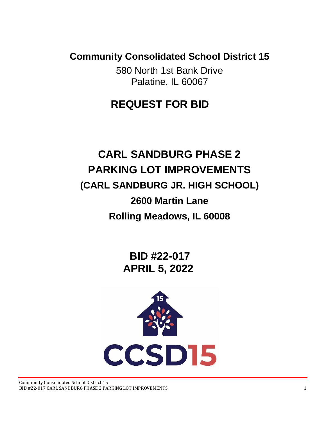**Community Consolidated School District 15**

580 North 1st Bank Drive Palatine, IL 60067

# **REQUEST FOR BID**

# **CARL SANDBURG PHASE 2 PARKING LOT IMPROVEMENTS (CARL SANDBURG JR. HIGH SCHOOL) 2600 Martin Lane Rolling Meadows, IL 60008**

 **BID #22-017 APRIL 5, 2022**

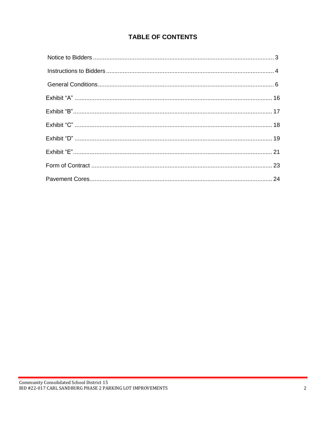# **TABLE OF CONTENTS**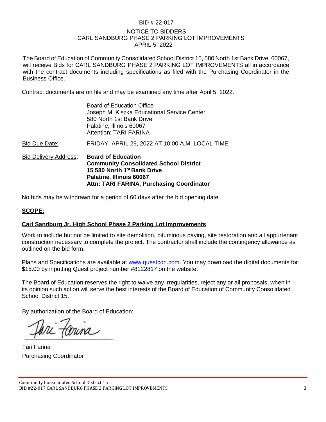# BID # 22-017

# NOTICE TO BIDDERS CARL SANDBURG PHASE 2 PARKING LOT IMPROVEMENTS APRIL 5, 2022

The Board of Education of Community Consolidated School District 15, 580 North 1st Bank Drive, 60067, will receive Bids for CARL SANDBURG PHASE 2 PARKING LOT IMPROVEMENTS all in accordance with the contract documents including specifications as filed with the Purchasing Coordinator in the Business Office.

Contract documents are on file and may be examined any time after April 5, 2022.

| <b>Bid Delivery Address:</b> | <b>Board of Education</b><br><b>Community Consolidated School District</b><br>15 580 North 1 <sup>st</sup> Bank Drive<br>Palatine, Illinois 60067<br><b>Attn: TARI FARINA, Purchasing Coordinator</b> |
|------------------------------|-------------------------------------------------------------------------------------------------------------------------------------------------------------------------------------------------------|
| Bid Due Date:                | FRIDAY, APRIL 29, 2022 AT 10:00 A.M. LOCAL TIME                                                                                                                                                       |
|                              | <b>Board of Education Office</b><br>Joseph M. Kiszka Educational Service Center<br>580 North 1st Bank Drive<br>Palatine, Illinois 60067<br><b>Attention: TARI FARINA</b>                              |

No bids may be withdrawn for a period of 60 days after the bid opening date.

# **SCOPE:**

# **Carl Sandburg Jr. High School Phase 2 Parking Lot Improvements**

Work to include but not be limited to site demolition, bituminous paving, site restoration and all appurtenant construction necessary to complete the project. The contractor shall include the contingency allowance as outlined on the bid form.

Plans and Specifications are available at [www.questcdn.com.](http://www.questcdn.com/) You may download the digital documents for \$15.00 by inputting Quest project number #8122817 on the website.

The Board of Education reserves the right to waive any irregularities, reject any or all proposals, when in its opinion such action will serve the best interests of the Board of Education of Community Consolidated School District 15.

By authorization of the Board of Education:

runa

Tari Farina Purchasing Coordinator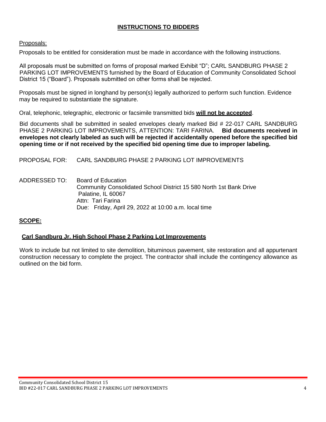# **INSTRUCTIONS TO BIDDERS**

#### Proposals:

Proposals to be entitled for consideration must be made in accordance with the following instructions.

All proposals must be submitted on forms of proposal marked Exhibit "D"; CARL SANDBURG PHASE 2 PARKING LOT IMPROVEMENTS furnished by the Board of Education of Community Consolidated School District 15 ("Board"). Proposals submitted on other forms shall be rejected.

Proposals must be signed in longhand by person(s) legally authorized to perform such function. Evidence may be required to substantiate the signature.

Oral, telephonic, telegraphic, electronic or facsimile transmitted bids **will not be accepted**.

Bid documents shall be submitted in sealed envelopes clearly marked Bid # 22-017 CARL SANDBURG PHASE 2 PARKING LOT IMPROVEMENTS, ATTENTION: TARI FARINA. **Bid documents received in envelopes not clearly labeled as such will be rejected if accidentally opened before the specified bid opening time or if not received by the specified bid opening time due to improper labeling.**

PROPOSAL FOR: CARL SANDBURG PHASE 2 PARKING LOT IMPROVEMENTS

ADDRESSED TO: Board of Education Community Consolidated School District 15 580 North 1st Bank Drive Palatine, IL 60067 Attn: Tari Farina Due: Friday, April 29, 2022 at 10:00 a.m. local time

# **SCOPE:**

#### **Carl Sandburg Jr. High School Phase 2 Parking Lot Improvements**

Work to include but not limited to site demolition, bituminous pavement, site restoration and all appurtenant construction necessary to complete the project. The contractor shall include the contingency allowance as outlined on the bid form.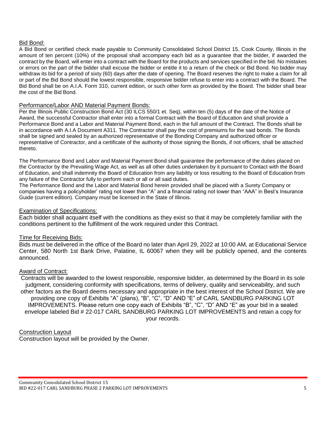#### Bid Bond:

A Bid Bond or certified check made payable to Community Consolidated School District 15, Cook County, Illinois in the amount of ten percent (10%) of the proposal shall accompany each bid as a guarantee that the bidder, if awarded the contract by the Board, will enter into a contract with the Board for the products and services specified in the bid. No mistakes or errors on the part of the bidder shall excuse the bidder or entitle it to a return of the check or Bid Bond. No bidder may withdraw its bid for a period of sixty (60) days after the date of opening. The Board reserves the right to make a claim for all or part of the Bid Bond should the lowest responsible, responsive bidder refuse to enter into a contract with the Board. The Bid Bond shall be on A.I.A. Form 310, current edition, or such other form as provided by the Board. The bidder shall bear the cost of the Bid Bond.

#### Performance/Labor AND Material Payment Bonds:

Per the Illinois Public Construction Bond Act (30 ILCS 550/1 et. Seq), within ten (5) days of the date of the Notice of Award, the successful Contractor shall enter into a formal Contract with the Board of Education and shall provide a Performance Bond and a Labor and Material Payment Bond, each in the full amount of the Contract. The Bonds shall be in accordance with A.I.A Document A311. The Contractor shall pay the cost of premiums for the said bonds. The Bonds shall be signed and sealed by an authorized representative of the Bonding Company and authorized officer or representative of Contractor, and a certificate of the authority of those signing the Bonds, if not officers, shall be attached thereto.

The Performance Bond and Labor and Material Payment Bond shall guarantee the performance of the duties placed on the Contractor by the Prevailing Wage Act, as well as all other duties undertaken by it pursuant to Contact with the Board of Education, and shall indemnity the Board of Education from any liability or loss resulting to the Board of Education from any failure of the Contractor fully to perform each or all or all said duties.

The Performance Bond and the Labor and Material Bond herein provided shall be placed with a Surety Company or companies having a policyholder' rating not lower than "A" and a financial rating not lower than "AAA" in Best's Insurance Guide (current edition). Company must be licensed in the State of Illinois.

#### Examination of Specifications:

Each bidder shall acquaint itself with the conditions as they exist so that it may be completely familiar with the conditions pertinent to the fulfillment of the work required under this Contract.

#### Time for Receiving Bids:

Bids must be delivered in the office of the Board no later than April 29, 2022 at 10:00 AM, at Educational Service Center, 580 North 1st Bank Drive, Palatine, IL 60067 when they will be publicly opened, and the contents announced.

#### Award of Contract:

Contracts will be awarded to the lowest responsible, responsive bidder, as determined by the Board in its sole judgment, considering conformity with specifications, terms of delivery, quality and serviceability, and such other factors as the Board deems necessary and appropriate in the best interest of the School District. We are providing one copy of Exhibits "A" (plans), "B", "C", "D" AND "E" of CARL SANDBURG PARKING LOT IMPROVEMENTS. Please return one copy each of Exhibits "B", "C", "D" AND "E" as your bid in a sealed envelope labeled Bid # 22-017 CARL SANDBURG PARKING LOT IMPROVEMENTS and retain a copy for your records.

#### Construction Layout

Construction layout will be provided by the Owner.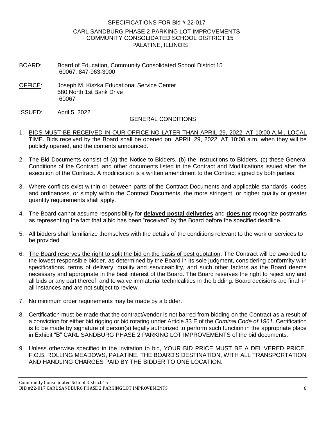# SPECIFICATIONS FOR Bid # 22-017 CARL SANDBURG PHASE 2 PARKING LOT IMPROVEMENTS COMMUNITY CONSOLIDATED SCHOOL DISTRICT 15 PALATINE, ILLINOIS

- BOARD: Board of Education, Community Consolidated School District 15 60067, 847-963-3000
- OFFICE: Joseph M. Kiszka Educational Service Center 580 North 1st Bank Drive 60067
- ISSUED: April 5, 2022

#### GENERAL CONDITIONS

- 1. BIDS MUST BE RECEIVED IN OUR OFFICE NO LATER THAN APRIL 29, 2022, AT 10:00 A.M., LOCAL TIME. Bids received by the Board shall be opened on, APRIL 29, 2022, AT 10:00 a.m. when they will be publicly opened, and the contents announced.
- 2. The Bid Documents consist of (a) the Notice to Bidders, (b) the Instructions to Bidders, (c) these General Conditions of the Contract, and other documents listed in the Contract and Modifications issued after the execution of the Contract. A modification is a written amendment to the Contract signed by both parties.
- 3. Where conflicts exist within or between parts of the Contract Documents and applicable standards, codes and ordinances, or simply within the Contract Documents, the more stringent, or higher quality or greater quantity requirements shall apply.
- 4. The Board cannot assume responsibility for **delayed postal deliveries** and **does not** recognize postmarks as representing the fact that a bid has been "received" by the Board before the specified deadline.
- 5. All bidders shall familiarize themselves with the details of the conditions relevant to the work or services to be provided.
- 6. The Board reserves the right to split the bid on the basis of best quotation. The Contract will be awarded to the lowest responsible bidder, as determined by the Board in its sole judgment, considering conformity with specifications, terms of delivery, quality and serviceability, and such other factors as the Board deems necessary and appropriate in the best interest of the Board. The Board reserves the right to reject any and all bids or any part thereof, and to waive immaterial technicalities in the bidding. Board decisions are final in all instances and are not subject to review.
- 7. No minimum order requirements may be made by a bidder.
- 8. Certification must be made that the contract/vendor is not barred from bidding on the Contract as a result of a conviction for either bid rigging or bid rotating under Article 33 E of the *Criminal Code of 1961*. Certification is to be made by signature of person(s) legally authorized to perform such function in the appropriate place in Exhibit "B" CARL SANDBURG PHASE 2 PARKING LOT IMPROVEMENTS of the bid documents.
- 9. Unless otherwise specified in the invitation to bid, YOUR BID PRICE MUST BE A DELIVERED PRICE, F.O.B. ROLLING MEADOWS, PALATINE, THE BOARD'S DESTINATION, WITH ALL TRANSPORTATION AND HANDLING CHARGES PAID BY THE BIDDER TO ONE LOCATION.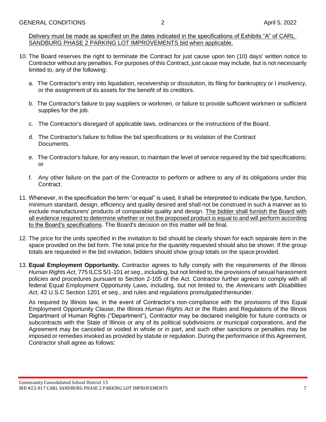Delivery must be made as specified on the dates indicated in the specifications of Exhibits "A" of CARL SANDBURG PHASE 2 PARKING LOT IMPROVEMENTS bid when applicable.

- 10. The Board reserves the right to terminate the Contract for just cause upon ten (10) days' written notice to Contractor without any penalties. For purposes of this Contract, just cause may include, but is not necessarily limited to, any of the following:
	- a. The Contractor's entry into liquidation, receivership or dissolution, its filing for bankruptcy or I insolvency, or the assignment of its assets for the benefit of its creditors.
	- b. The Contractor's failure to pay suppliers or workmen, or failure to provide sufficient workmen or sufficient supplies for the job.
	- c. The Contractor's disregard of applicable laws, ordinances or the instructions of the Board.
	- d. The Contractor's failure to follow the bid specifications or its violation of the Contract Documents.
	- e. The Contractor's failure, for any reason, to maintain the level of service required by the bid specifications; or
	- f. Any other failure on the part of the Contractor to perform or adhere to any of its obligations under this Contract.
- 11. Whenever, in the specification the term "or equal" is used, it shall be interpreted to indicate the type, function, minimum standard, design, efficiency and quality desired and shall not be construed in such a manner as to exclude manufacturers' products of comparable quality and design. The bidder shall furnish the Board with all evidence required to determine whether or not the proposed product is equal to and will perform according to the Board's specifications. The Board's decision on this matter will be final.
- 12. The price for the units specified in the invitation to bid should be clearly shown for each separate item in the space provided on the bid form. The total price for the quantity requested should also be shown. If the group totals are requested in the bid invitation, bidders should show group totals on the space provided.
- 13. **Equal Employment Opportunity.** Contractor agrees to fully comply with the requirements of the Illinois *Human Rights Act*, 775 ILCS 5/1-101 *et seq*., including, but not limited to, the provisions of sexual harassment policies and procedures pursuant to Section 2-105 of the Act. Contractor further agrees to comply with all federal Equal Employment Opportunity Laws, including, but not limited to, the *Americans with Disabilities Act*, 42 U.S.C Section 1201 *et seq*., and rules and regulations promulgated thereunder.

As required by Illinois law, in the event of Contractor's non-compliance with the provisions of this Equal Employment Opportunity Clause, the Illinois *Human Rights Act* or the Rules and Regulations of the Illinois Department of Human Rights ("Department"), Contractor may be declared ineligible for future contracts or subcontracts with the State of Illinois or any of its political subdivisions or municipal corporations, and the Agreement may be canceled or voided in whole or in part, and such other sanctions or penalties may be imposed or remedies invoked as provided by statute or regulation. During the performance of this Agreement, Contractor shall agree as follows: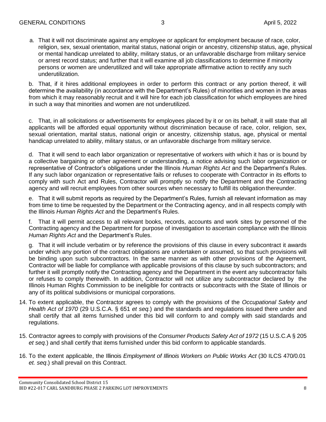a. That it will not discriminate against any employee or applicant for employment because of race, color, religion, sex, sexual orientation, marital status, national origin or ancestry, citizenship status, age, physical or mental handicap unrelated to ability, military status, or an unfavorable discharge from military service or arrest record status; and further that it will examine all job classifications to determine if minority persons or women are underutilized and will take appropriate affirmative action to rectify any such underutilization.

b. That, if it hires additional employees in order to perform this contract or any portion thereof, it will determine the availability (in accordance with the Department's Rules) of minorities and women in the areas from which it may reasonably recruit and it will hire for each job classification for which employees are hired in such a way that minorities and women are not underutilized.

c. That, in all solicitations or advertisements for employees placed by it or on its behalf, it will state that all applicants will be afforded equal opportunity without discrimination because of race, color, religion, sex, sexual orientation, marital status, national origin or ancestry, citizenship status, age, physical or mental handicap unrelated to ability, military status, or an unfavorable discharge from military service.

d. That it will send to each labor organization or representative of workers with which it has or is bound by a collective bargaining or other agreement or understanding, a notice advising such labor organization or representative of Contractor's obligations under the Illinois *Human Rights Act* and the Department's Rules. If any such labor organization or representative fails or refuses to cooperate with Contractor in its efforts to comply with such Act and Rules, Contractor will promptly so notify the Department and the Contracting agency and will recruit employees from other sources when necessary to fulfill its obligation thereunder.

e. That it will submit reports as required by the Department's Rules, furnish all relevant information as may from time to time be requested by the Department or the Contracting agency, and in all respects comply with the Illinois *Human Rights Act* and the Department's Rules.

f. That it will permit access to all relevant books, records, accounts and work sites by personnel of the Contracting agency and the Department for purpose of investigation to ascertain compliance with the Illinois *Human Rights Act* and the Department's Rules.

g. That it will include verbatim or by reference the provisions of this clause in every subcontract it awards under which any portion of the contract obligations are undertaken or assumed, so that such provisions will be binding upon such subcontractors. In the same manner as with other provisions of the Agreement, Contractor will be liable for compliance with applicable provisions of this clause by such subcontractors; and further it will promptly notify the Contracting agency and the Department in the event any subcontractor fails or refuses to comply therewith. In addition, Contractor will not utilize any subcontractor declared by the Illinois Human Rights Commission to be ineligible for contracts or subcontracts with the State of Illinois or any of its political subdivisions or municipal corporations.

- 14. To extent applicable, the Contractor agrees to comply with the provisions of the *Occupational Safety and Health Act of 1970* (29 U.S.C.A. § 651 *et seq.*) and the standards and regulations issued there under and shall certify that all items furnished under this bid will conform to and comply with said standards and regulations.
- 15. Contractor agrees to comply with provisions of the *Consumer Products Safety Act of 1972* (15 U.S.C.A § 205 *et seq.*) and shall certify that items furnished under this bid conform to applicable standards.
- 16. To the extent applicable, the Illinois *Employment of Illinois Workers on Public Works Act* (30 ILCS 470/0.01 *et. seq*.) shall prevail on this Contract.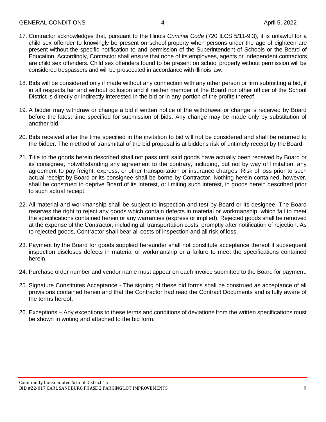- 17. Contractor acknowledges that, pursuant to the Illinois *Criminal Code* (720 ILCS 5/11-9.3), it is unlawful for a child sex offender to knowingly be present on school property when persons under the age of eighteen are present without the specific notification to and permission of the Superintendent of Schools or the Board of Education. Accordingly, Contractor shall ensure that none of its employees, agents or independent contractors are child sex offenders. Child sex offenders found to be present on school property without permission will be considered trespassers and will be prosecuted in accordance with Illinois law.
- 18. Bids will be considered only if made without any connection with any other person or firm submitting a bid, if in all respects fair and without collusion and if neither member of the Board nor other officer of the School District is directly or indirectly interested in the bid or in any portion of the profits thereof.
- 19. A bidder may withdraw or change a bid if written notice of the withdrawal or change is received by Board before the latest time specified for submission of bids. Any change may be made only by substitution of another bid.
- 20. Bids received after the time specified in the invitation to bid will not be considered and shall be returned to the bidder. The method of transmittal of the bid proposal is at bidder's risk of untimely receipt by theBoard.
- 21. Title to the goods herein described shall not pass until said goods have actually been received by Board or its consignee, notwithstanding any agreement to the contrary, including, but not by way of limitation, any agreement to pay freight, express, or other transportation or insurance charges. Risk of loss prior to such actual receipt by Board or its consignee shall be borne by Contractor. Nothing herein contained, however, shall be construed to deprive Board of its interest, or limiting such interest, in goods herein described prior to such actual receipt.
- 22. All material and workmanship shall be subject to inspection and test by Board or its designee. The Board reserves the right to reject any goods which contain defects in material or workmanship, which fail to meet the specifications contained herein or any warranties (express or implied). Rejected goods shall be removed at the expense of the Contractor, including all transportation costs, promptly after notification of rejection. As to rejected goods, Contractor shall bear all costs of inspection and all risk of loss.
- 23. Payment by the Board for goods supplied hereunder shall not constitute acceptance thereof if subsequent inspection discloses defects in material or workmanship or a failure to meet the specifications contained herein.
- 24. Purchase order number and vendor name must appear on each invoice submitted to the Board for payment.
- 25. Signature Constitutes Acceptance The signing of these bid forms shall be construed as acceptance of all provisions contained herein and that the Contractor had read the Contract Documents and is fully aware of the terms hereof.
- 26. Exceptions Any exceptions to these terms and conditions of deviations from the written specifications must be shown in writing and attached to the bid form.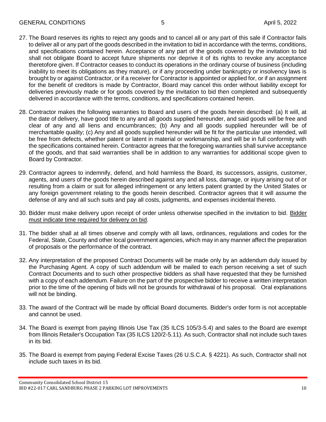- 27. The Board reserves its rights to reject any goods and to cancel all or any part of this sale if Contractor fails to deliver all or any part of the goods described in the invitation to bid in accordance with the terms, conditions, and specifications contained herein. Acceptance of any part of the goods covered by the invitation to bid shall not obligate Board to accept future shipments nor deprive it of its rights to revoke any acceptance theretofore given. If Contractor ceases to conduct its operations in the ordinary course of business (including inability to meet its obligations as they mature), or if any proceeding under bankruptcy or insolvency laws is brought by or against Contractor, or if a receiver for Contractor is appointed or applied for, or if an assignment for the benefit of creditors is made by Contractor, Board may cancel this order without liability except for deliveries previously made or for goods covered by the invitation to bid then completed and subsequently delivered in accordance with the terms, conditions, and specifications contained herein.
- 28. Contractor makes the following warranties to Board and users of the goods herein described: (a) It will, at the date of delivery, have good title to any and all goods supplied hereunder, and said goods will be free and clear of any and all liens and encumbrances; (b) Any and all goods supplied hereunder will be of merchantable quality; (c) Any and all goods supplied hereunder will be fit for the particular use intended, will be free from defects, whether patent or latent in material or workmanship, and will be in full conformity with the specifications contained herein. Contractor agrees that the foregoing warranties shall survive acceptance of the goods, and that said warranties shall be in addition to any warranties for additional scope given to Board by Contractor.
- 29. Contractor agrees to indemnify, defend, and hold harmless the Board, its successors, assigns, customer, agents, and users of the goods herein described against any and all loss, damage, or injury arising out of or resulting from a claim or suit for alleged infringement or any letters patent granted by the United States or any foreign government relating to the goods herein described. Contractor agrees that it will assume the defense of any and all such suits and pay all costs, judgments, and expenses incidental thereto.
- 30. Bidder must make delivery upon receipt of order unless otherwise specified in the invitation to bid. Bidder must indicate time required for delivery on bid.
- 31. The bidder shall at all times observe and comply with all laws, ordinances, regulations and codes for the Federal, State, County and other local government agencies, which may in any manner affect the preparation of proposals or the performance of the contract.
- 32. Any interpretation of the proposed Contract Documents will be made only by an addendum duly issued by the Purchasing Agent. A copy of such addendum will be mailed to each person receiving a set of such Contract Documents and to such other prospective bidders as shall have requested that they be furnished with a copy of each addendum. Failure on the part of the prospective bidder to receive a written interpretation prior to the time of the opening of bids will not be grounds for withdrawal of his proposal. Oral explanations will not be binding.
- 33. The award of the Contract will be made by official Board documents. Bidder's order form is not acceptable and cannot be used.
- 34. The Board is exempt from paying Illinois Use Tax (35 ILCS 105/3-5.4) and sales to the Board are exempt from Illinois Retailer's Occupation Tax (35 ILCS 120/2-5.11). As such, Contractor shall not include such taxes in its bid.
- 35. The Board is exempt from paying Federal Excise Taxes (26 U.S.C.A. § 4221). As such, Contractor shall not include such taxes in its bid.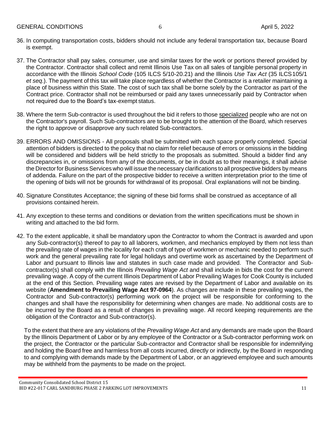- 36. In computing transportation costs, bidders should not include any federal transportation tax, because Board is exempt.
- 37. The Contractor shall pay sales, consumer, use and similar taxes for the work or portions thereof provided by the Contractor. Contractor shall collect and remit Illinois Use Tax on all sales of tangible personal property in accordance with the Illinois *School Code* (105 ILCS 5/10-20.21) and the Illinois *Use Tax Act* (35 ILCS105/1 *et seq*.). The payment of this tax will take place regardless of whether the Contractor is a retailer maintaining a place of business within this State. The cost of such tax shall be borne solely by the Contractor as part of the Contract price. Contractor shall not be reimbursed or paid any taxes unnecessarily paid by Contractor when not required due to the Board's tax-exempt status.
- 38. Where the term Sub-contractor is used throughout the bid it refers to those specialized people who are not on the Contractor's payroll. Such Sub-contractors are to be brought to the attention of the Board, which reserves the right to approve or disapprove any such related Sub-contractors.
- 39. ERRORS AND OMISSIONS All proposals shall be submitted with each space properly completed. Special attention of bidders is directed to the policy that no claim for relief because of errors or omissions in the bidding will be considered and bidders will be held strictly to the proposals as submitted. Should a bidder find any discrepancies in, or omissions from any of the documents, or be in doubt as to their meanings, it shall advise the Director for Business Services who will issue the necessary clarifications to all prospective bidders by means of addenda. Failure on the part of the prospective bidder to receive a written interpretation prior to the time of the opening of bids will not be grounds for withdrawal of its proposal. Oral explanations will not be binding.
- 40. Signature Constitutes Acceptance; the signing of these bid forms shall be construed as acceptance of all provisions contained herein.
- 41. Any exception to these terms and conditions or deviation from the written specifications must be shown in writing and attached to the bid form.
- 42. To the extent applicable, it shall be mandatory upon the Contractor to whom the Contract is awarded and upon any Sub-contractor(s) thereof to pay to all laborers, workmen, and mechanics employed by them not less than the prevailing rate of wages in the locality for each craft of type of workmen or mechanic needed to perform such work and the general prevailing rate for legal holidays and overtime work as ascertained by the Department of Labor and pursuant to Illinois law and statutes in such case made and provided. The Contractor and Subcontractor(s) shall comply with the Illinois *Prevailing Wage Act* and shall include in bids the cost for the current prevailing wage. A copy of the current Illinois Department of Labor Prevailing Wages for Cook County is included at the end of this Section. Prevailing wage rates are revised by the Department of Labor and available on its website (**Amendment to Prevailing Wage Act 97-0964**). As changes are made in these prevailing wages, the Contractor and Sub-contractor(s) performing work on the project will be responsible for conforming to the changes and shall have the responsibility for determining when changes are made. No additional costs are to be incurred by the Board as a result of changes in prevailing wage. All record keeping requirements are the obligation of the Contractor and Sub-contractor(s).

To the extent that there are any violations of the *Prevailing Wage Act* and any demands are made upon the Board by the Illinois Department of Labor or by any employee of the Contractor or a Sub-contractor performing work on the project, the Contractor or the particular Sub-contractor and Contractor shall be responsible for indemnifying and holding the Board free and harmless from all costs incurred, directly or indirectly, by the Board in responding to and complying with demands made by the Department of Labor, or an aggrieved employee and such amounts may be withheld from the payments to be made on the project.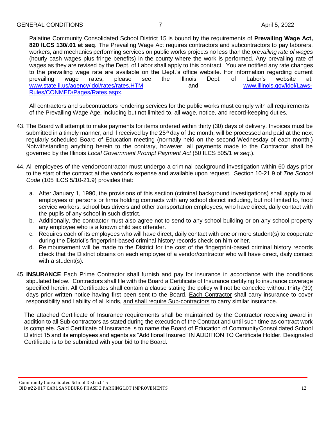Palatine Community Consolidated School District 15 is bound by the requirements of **Prevailing Wage Act, 820 lLCS 130/.01 et seq**. The Prevailing Wage Act requires contractors and subcontractors to pay laborers, workers, and mechanics performing services on public works projects no less than the *prevailing rate of wages*  (hourly cash wages plus fringe benefits) in the county where the work is performed. Any prevailing rate of wages as they are revised by the Dept. of Labor shall apply to this contract. You are notified any rate changes to the prevailing wage rate are available on the Dept.'s office website. For information regarding current prevailing wage rates, please see the Illinois Dept. of Labor's website at: [www.state.il.us/agency/idol/rates/rates.HTM](http://www.state.il.us/agency/idol/rates/rates.HTM) and and [www.illinois.gov/idol/Laws-](http://www.illinois.gov/idol/Laws-Rules/CONMED/Pages/Rates.aspx)[Rules/CONMED/Pages/Rates.aspx.](http://www.illinois.gov/idol/Laws-Rules/CONMED/Pages/Rates.aspx)

All contractors and subcontractors rendering services for the public works must comply with all requirements of the Prevailing Wage Age, including but not limited to, all wage, notice, and record-keeping duties.

- 43. The Board will attempt to make payments for items ordered within thirty (30) days of delivery. Invoices must be submitted in a timely manner, and if received by the 25<sup>th</sup> day of the month, will be processed and paid at the next regularly scheduled Board of Education meeting (normally held on the second Wednesday of each month.) Notwithstanding anything herein to the contrary, however, all payments made to the Contractor shall be governed by the Illinois *Local Government Prompt Payment Act* (50 ILCS 505/1 *et seq*.).
- 44. All employees of the vendor/contractor must undergo a criminal background investigation within 60 days prior to the start of the contract at the vendor's expense and available upon request. Section 10-21.9 of *The School Code* (105 ILCS 5/10-21.9) provides that:
	- a. After January 1, 1990, the provisions of this section (criminal background investigations) shall apply to all employees of persons or firms holding contracts with any school district including, but not limited to, food service workers, school bus drivers and other transportation employees, who have direct, daily contact with the pupils of any school in such district.
	- b. Additionally, the contractor must also agree not to send to any school building or on any school property any employee who is a known child sex offender.
	- c. Requires each of its employees who will have direct, daily contact with one or more student(s) to cooperate during the District's fingerprint-based criminal history records check on him or her.
	- d. Reimbursement will be made to the District for the cost of the fingerprint-based criminal history records check that the District obtains on each employee of a vendor/contractor who will have direct, daily contact with a student(s).
- 45. **INSURANCE** Each Prime Contractor shall furnish and pay for insurance in accordance with the conditions stipulated below. Contractors shall file with the Board a Certificate of Insurance certifying to insurance coverage specified herein. All Certificates shall contain a clause stating the policy will not be canceled without thirty (30) days prior written notice having first been sent to the Board. Each Contractor shall carry insurance to cover responsibility and liability of all kinds, and shall require Sub-contractors to carry similar insurance.

The attached Certificate of Insurance requirements shall be maintained by the Contractor receiving award in addition to all Sub-contractors as stated during the execution of the Contract and until such time as contract work is complete. Said Certificate of Insurance is to name the Board of Education of CommunityConsolidated School District 15 and its employees and agents as "Additional Insured" IN ADDITION TO Certificate Holder. Designated Certificate is to be submitted with your bid to the Board.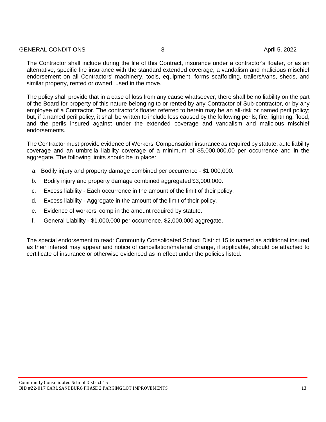#### GENERAL CONDITIONS 8 April 5, 2022

The Contractor shall include during the life of this Contract, insurance under a contractor's floater, or as an alternative, specific fire insurance with the standard extended coverage, a vandalism and malicious mischief endorsement on all Contractors' machinery, tools, equipment, forms scaffolding, trailers/vans, sheds, and similar property, rented or owned, used in the move.

The policy shall provide that in a case of loss from any cause whatsoever, there shall be no liability on the part of the Board for property of this nature belonging to or rented by any Contractor of Sub-contractor, or by any employee of a Contractor. The contractor's floater referred to herein may be an all-risk or named peril policy; but, if a named peril policy, it shall be written to include loss caused by the following perils; fire, lightning, flood, and the perils insured against under the extended coverage and vandalism and malicious mischief endorsements.

The Contractor must provide evidence of Workers' Compensation insurance as required by statute, auto liability coverage and an umbrella liability coverage of a minimum of \$5,000,000.00 per occurrence and in the aggregate. The following limits should be in place:

- a. Bodily injury and property damage combined per occurrence \$1,000,000.
- b. Bodily injury and property damage combined aggregated \$3,000,000.
- c. Excess liability Each occurrence in the amount of the limit of their policy.
- d. Excess liability Aggregate in the amount of the limit of their policy.
- e. Evidence of workers' comp in the amount required by statute.
- f. General Liability \$1,000,000 per occurrence, \$2,000,000 aggregate.

The special endorsement to read: Community Consolidated School District 15 is named as additional insured as their interest may appear and notice of cancellation/material change, if applicable, should be attached to certificate of insurance or otherwise evidenced as in effect under the policies listed.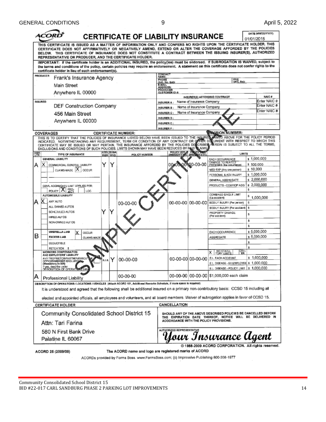| CERTIFICATE OF LIABILITY INSURANCE                                                                                                                                                                                                                                                                                                                                                                                                                                 |                                                       |                                  |                                                        |                                                                                                                                                                      | 01/01/2015            | DATE (MM/DD/YYYY)            |
|--------------------------------------------------------------------------------------------------------------------------------------------------------------------------------------------------------------------------------------------------------------------------------------------------------------------------------------------------------------------------------------------------------------------------------------------------------------------|-------------------------------------------------------|----------------------------------|--------------------------------------------------------|----------------------------------------------------------------------------------------------------------------------------------------------------------------------|-----------------------|------------------------------|
| THIS CERTIFICATE IS ISSUED AS A MATTER OF INFORMATION ONLY AND CONFERS NO RIGHTS UPON THE CERTIFICATE HOLDER. THIS<br>CERTIFICATE DOES NOT AFFIRMATIVELY OR NEGATIVELY AMEND, EXTEND OR ALTER THE COVERAGE AFFORDED BY THE POLICIES<br>BELOW. THIS CERTIFICATE OF INSURANCE DOES NOT CONSTITUTE A CONTRACT BETWEEN THE ISSUING INSURER(S), AUTHORIZED<br>REPRESENTATIVE OR PRODUCER, AND THE CERTIFICATE HOLDER.                                                   |                                                       |                                  |                                                        |                                                                                                                                                                      |                       |                              |
| IMPORTANT: If the certificate holder is an ADDITIONAL INSURED, the policy(ies) must be endorsed. If SUBROGATION IS WAIVED, subject to<br>the terms and conditions of the policy, certain policies may require an endorsement. A statement on this certificate does not confer rights to the<br>certificate holder in lieu of such endorsement(s).                                                                                                                  |                                                       |                                  |                                                        |                                                                                                                                                                      |                       |                              |
| PRODUCER<br>Frank's Insurance Agency                                                                                                                                                                                                                                                                                                                                                                                                                               | <b>CONTACT</b><br>NAME:<br>PHONE                      |                                  |                                                        |                                                                                                                                                                      |                       |                              |
| Main Street                                                                                                                                                                                                                                                                                                                                                                                                                                                        | (A/C, No. Ext):<br>E-MAIL                             |                                  |                                                        | FAX<br>(AVC, Nel:                                                                                                                                                    |                       |                              |
| Anywhere IL 00000                                                                                                                                                                                                                                                                                                                                                                                                                                                  | ADDRESS.<br><b>PRODUCER</b><br>CUSTOMER ID #:         |                                  |                                                        |                                                                                                                                                                      |                       |                              |
|                                                                                                                                                                                                                                                                                                                                                                                                                                                                    |                                                       |                                  |                                                        | INSURER(S) AFFORDING COVERAGE                                                                                                                                        |                       | NAIC #                       |
| <b>INSURED</b><br><b>DEF Construction Company</b>                                                                                                                                                                                                                                                                                                                                                                                                                  | <b>INSURER A:</b>                                     |                                  | Name of Insurance Company                              |                                                                                                                                                                      |                       | Enter NAIC #<br>Enter NAIC # |
|                                                                                                                                                                                                                                                                                                                                                                                                                                                                    | INSURER B:<br><b>INSURER C:</b>                       |                                  | Name of Insurance Company<br>Name of Insurance Company |                                                                                                                                                                      |                       | Enter NAIC #                 |
| 456 Main Street                                                                                                                                                                                                                                                                                                                                                                                                                                                    | INSURER D:                                            |                                  |                                                        |                                                                                                                                                                      |                       |                              |
| Anywhere IL 00000                                                                                                                                                                                                                                                                                                                                                                                                                                                  | <b>INSURER E:</b>                                     |                                  |                                                        |                                                                                                                                                                      |                       |                              |
|                                                                                                                                                                                                                                                                                                                                                                                                                                                                    | <b>INSURER F:</b>                                     |                                  |                                                        | <b><i>REMISION NUMBER:</i></b>                                                                                                                                       |                       |                              |
| COVERAGES<br><b>CERTIFICATE NUMBER:</b>                                                                                                                                                                                                                                                                                                                                                                                                                            |                                                       |                                  |                                                        |                                                                                                                                                                      |                       |                              |
| THIS IS TO CERTIFY THAT THE POLICIES OF INSURANCE LISTED BELOW HAVE BEEN ISSUED TO THE INSURED ABOVE FOR THE POLICY PERIOD<br>INDICATED. NOTWITHSTANDING ANY REQUIREMENT, TERM OR CONDITION OF ANY CONTRACT OR OFFIER DOCUMENT WI<br>CERTIFICATE MAY BE ISSUED OR MAY PERTAIN, THE INSURANCE AFFORDED BY THE POLICIES DESCRIBED REREIN IS SUBJECT TO ALL THE TERMS,<br>EXCLUSIONS AND CONDITIONS OF SUCH POLICIES, LIMITS SHOWN MAY HAVE BEEN REDUCED BY PAID LAMS |                                                       |                                  |                                                        |                                                                                                                                                                      |                       |                              |
| ADDL SUBR<br>IMSR<br>LTR<br>TYPE OF INSURANCE<br>INSR WVD                                                                                                                                                                                                                                                                                                                                                                                                          | POLICY NUMBER                                         | <b>POLICY RE</b>                 |                                                        | <b>LIMITS</b>                                                                                                                                                        |                       |                              |
| GENERAL LIABILITY                                                                                                                                                                                                                                                                                                                                                                                                                                                  |                                                       |                                  |                                                        | EACH OCCURRENCE                                                                                                                                                      |                       | s 1,000,000                  |
| Y<br>х<br>Y<br>COMMERCIAL GENERAL LIABILITY<br>А<br>CLAIMS-MADE X CCCUR                                                                                                                                                                                                                                                                                                                                                                                            |                                                       |                                  | 00-00-00                                               | DAMAGE TO RENTED<br>PREMISES (Ea cooumunos)<br>MED EXP (Any one person)                                                                                              | \$100,000<br>\$10,000 |                              |
|                                                                                                                                                                                                                                                                                                                                                                                                                                                                    |                                                       |                                  |                                                        | PERSONAL & ADV INJURY                                                                                                                                                |                       | s 1,000,000                  |
|                                                                                                                                                                                                                                                                                                                                                                                                                                                                    |                                                       |                                  |                                                        | GENERAL AGGREGATE                                                                                                                                                    |                       | \$2,000,000                  |
| GENL AGGREGATE LIMIT APPLIES PER:                                                                                                                                                                                                                                                                                                                                                                                                                                  |                                                       |                                  |                                                        | PRODUCTS - COMP/OP AGG                                                                                                                                               | s                     | s 2,000,000                  |
| POLICY X 25<br>LCC.<br>AUTOMOBILE LIABILITY                                                                                                                                                                                                                                                                                                                                                                                                                        |                                                       |                                  |                                                        | <b>COMBINED SINGLE LIMIT</b>                                                                                                                                         |                       |                              |
| x<br>ANY AUTO<br>А                                                                                                                                                                                                                                                                                                                                                                                                                                                 |                                                       |                                  | 00-00-00 00-00-00                                      | (Ea eccident)<br>BODILY INJURY (Per person)                                                                                                                          | \$                    | \$1,000,000                  |
| 00-00-00<br>ALL OWNED AUTOS                                                                                                                                                                                                                                                                                                                                                                                                                                        |                                                       |                                  |                                                        | BODILY INJURY (Par accident)                                                                                                                                         | s.                    |                              |
| Y<br>SCHEDULED AUTOS                                                                                                                                                                                                                                                                                                                                                                                                                                               |                                                       |                                  |                                                        | PROPERTY DAMAGE<br>(Per and dent)                                                                                                                                    | \$                    |                              |
| HIRED AUTOS<br>NON-OWNED AUTOS                                                                                                                                                                                                                                                                                                                                                                                                                                     |                                                       |                                  |                                                        |                                                                                                                                                                      | s                     |                              |
|                                                                                                                                                                                                                                                                                                                                                                                                                                                                    |                                                       |                                  |                                                        |                                                                                                                                                                      | ŝ.                    |                              |
| UMBRELLA LIAB<br>x<br><b>OCCUR</b><br>B                                                                                                                                                                                                                                                                                                                                                                                                                            |                                                       |                                  |                                                        | EACH OCCURRENCE                                                                                                                                                      |                       | s 5,000,000                  |
| <b>EXCESS LIAB</b><br>CLAIMS-MACK                                                                                                                                                                                                                                                                                                                                                                                                                                  |                                                       |                                  |                                                        | <b>AGGREGATE</b>                                                                                                                                                     | \$                    | \$5,000,000                  |
| DEDUCTIBLE<br><b>RETENTION \$</b>                                                                                                                                                                                                                                                                                                                                                                                                                                  |                                                       |                                  |                                                        |                                                                                                                                                                      | s                     |                              |
| WORKERS COMPENSATION<br>AND EMPLOYERS' LIABILITY                                                                                                                                                                                                                                                                                                                                                                                                                   |                                                       |                                  |                                                        | 깳<br>WC STATU-<br>TORY LIMITS<br>x.                                                                                                                                  |                       |                              |
| ANY PROPRIETOR/PARTNER/EXECUTIVE<br>00-00-00<br>Y<br>N/A <br>OFFICER/MEMBER EXCLUDE ARe-                                                                                                                                                                                                                                                                                                                                                                           |                                                       |                                  | 00-00-00 00-00-00                                      | <b>E.L. EACH ACCIDENT</b>                                                                                                                                            |                       | \$1,000,000                  |
| (Mandatory in NH)<br>DESCRIPTION OF OPERATIONS below                                                                                                                                                                                                                                                                                                                                                                                                               |                                                       |                                  |                                                        | E.L. DISEASE - EA EMPLOYEE \$ 1,000.000<br>EL DISEASE - POLICY LIMIT   \$ 1,000,000                                                                                  |                       |                              |
| А<br>00-00-00<br>Professional Liability                                                                                                                                                                                                                                                                                                                                                                                                                            |                                                       |                                  |                                                        | 00-00-00 00-00-00 S1,000,000 each claim                                                                                                                              |                       |                              |
| DESCRIPTION OF CPERATIONS/LOCATIONS/VEHICLES   Aftach ACORD 101, Additional Remarks Schedule, if more space is required)                                                                                                                                                                                                                                                                                                                                           |                                                       |                                  |                                                        |                                                                                                                                                                      |                       |                              |
| It is understood and agreed that the following shall be additional insured on a primary non-contributory basis: CCSD 15 including all                                                                                                                                                                                                                                                                                                                              |                                                       |                                  |                                                        |                                                                                                                                                                      |                       |                              |
|                                                                                                                                                                                                                                                                                                                                                                                                                                                                    |                                                       |                                  |                                                        |                                                                                                                                                                      |                       |                              |
| elected and appointed officials, all employees and volunteers, and all board members. Waiver of subrogation applies in favor of CCSD 15.                                                                                                                                                                                                                                                                                                                           |                                                       |                                  |                                                        |                                                                                                                                                                      |                       |                              |
| <b>CERTIFICATE HOLDER</b>                                                                                                                                                                                                                                                                                                                                                                                                                                          |                                                       | CANCELLATION                     |                                                        |                                                                                                                                                                      |                       |                              |
| Community Consolidated School District 15                                                                                                                                                                                                                                                                                                                                                                                                                          |                                                       |                                  |                                                        | SHOULD ANY OF THE ABOVE DESCRIBED POLICIES BE CANCELLED BEFORE<br>THE EXPIRATION DATE THEREOF, NOTICE WILL BE DELIVERED IN<br>ACCORDANCE WITH THE POLICY PROVISIONS. |                       |                              |
| Attn: Tari Farina                                                                                                                                                                                                                                                                                                                                                                                                                                                  |                                                       |                                  |                                                        |                                                                                                                                                                      |                       |                              |
| 580 N First Bank Drive                                                                                                                                                                                                                                                                                                                                                                                                                                             |                                                       | <b>AUTHORIZED REPRESENTATIVE</b> |                                                        |                                                                                                                                                                      |                       |                              |
| Palatine IL 60067                                                                                                                                                                                                                                                                                                                                                                                                                                                  |                                                       |                                  |                                                        | Your Insurance Agent                                                                                                                                                 |                       |                              |
| ACORD 25 (2009/09)                                                                                                                                                                                                                                                                                                                                                                                                                                                 | The ACORD name and logo are registered marks of ACORD |                                  |                                                        | @ 1988-2009 ACORD CORPORATION. All rights reserved.                                                                                                                  |                       |                              |
| ACORDs provided by Forms Boss. www.FormsBoss.com; (c) Impressive Publishing 800-208-1977                                                                                                                                                                                                                                                                                                                                                                           |                                                       |                                  |                                                        |                                                                                                                                                                      |                       |                              |

Community Consolidated School District 15 BID #22-017 CARL SANDBURG PHASE 2 PARKING LOT IMPROVEMENTS 14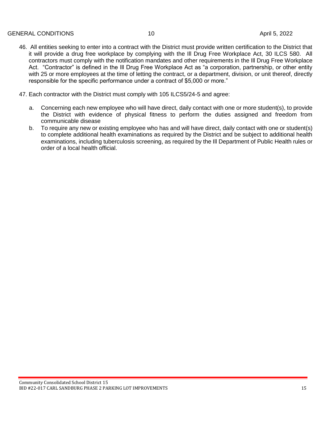- 46. All entities seeking to enter into a contract with the District must provide written certification to the District that it will provide a drug free workplace by complying with the Ill Drug Free Workplace Act, 30 ILCS 580. All contractors must comply with the notification mandates and other requirements in the Ill Drug Free Workplace Act. "Contractor" is defined in the Ill Drug Free Workplace Act as "a corporation, partnership, or other entity with 25 or more employees at the time of letting the contract, or a department, division, or unit thereof, directly responsible for the specific performance under a contract of \$5,000 or more."
- 47. Each contractor with the District must comply with 105 ILCS5/24-5 and agree:
	- a. Concerning each new employee who will have direct, daily contact with one or more student(s), to provide the District with evidence of physical fitness to perform the duties assigned and freedom from communicable disease
	- b. To require any new or existing employee who has and will have direct, daily contact with one or student(s) to complete additional health examinations as required by the District and be subject to additional health examinations, including tuberculosis screening, as required by the Ill Department of Public Health rules or order of a local health official.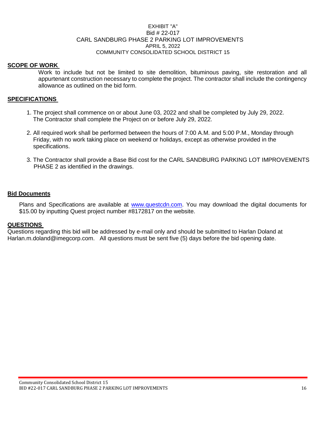#### EXHIBIT "A" Bid # 22-017 CARL SANDBURG PHASE 2 PARKING LOT IMPROVEMENTS APRIL 5, 2022 COMMUNITY CONSOLIDATED SCHOOL DISTRICT 15

# **SCOPE OF WORK**

Work to include but not be limited to site demolition, bituminous paving, site restoration and all appurtenant construction necessary to complete the project. The contractor shall include the contingency allowance as outlined on the bid form.

#### **SPECIFICATIONS**

- 1. The project shall commence on or about June 03, 2022 and shall be completed by July 29, 2022. The Contractor shall complete the Project on or before July 29, 2022.
- 2. All required work shall be performed between the hours of 7:00 A.M. and 5:00 P.M., Monday through Friday, with no work taking place on weekend or holidays, except as otherwise provided in the specifications.
- 3. The Contractor shall provide a Base Bid cost for the CARL SANDBURG PARKING LOT IMPROVEMENTS PHASE 2 as identified in the drawings.

#### **Bid Documents**

Plans and Specifications are available at [www.questcdn.com.](http://www.questcdn.com/) You may download the digital documents for \$15.00 by inputting Quest project number #8172817 on the website.

#### **QUESTIONS**

Questions regarding this bid will be addressed by e-mail only and should be submitted to Harlan Doland at Harlan.m.doland@imegcorp.com. All questions must be sent five (5) days before the bid opening date.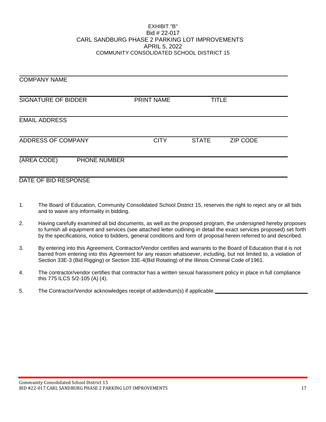#### EXHIBIT "B" Bid # 22-017 CARL SANDBURG PHASE 2 PARKING LOT IMPROVEMENTS APRIL 5, 2022 COMMUNITY CONSOLIDATED SCHOOL DISTRICT 15

| <b>COMPANY NAME</b>         |                   |              |                 |
|-----------------------------|-------------------|--------------|-----------------|
| <b>SIGNATURE OF BIDDER</b>  | <b>PRINT NAME</b> | <b>TITLE</b> |                 |
| <b>EMAIL ADDRESS</b>        |                   |              |                 |
| ADDRESS OF COMPANY          | <b>CITY</b>       | <b>STATE</b> | <b>ZIP CODE</b> |
| (AREA CODE)<br>PHONE NUMBER |                   |              |                 |
| DATE OF BID RESPONSE        |                   |              |                 |

- 1. The Board of Education, Community Consolidated School District 15, reserves the right to reject any or all bids and to waive any informality in bidding.
- 2. Having carefully examined all bid documents, as well as the proposed program, the undersigned hereby proposes to furnish all equipment and services (see attached letter outlining in detail the exact services proposed) set forth by the specifications, notice to bidders, general conditions and form of proposal herein referred to and described.
- 3. By entering into this Agreement, Contractor/Vendor certifies and warrants to the Board of Education that it is not barred from entering into this Agreement for any reason whatsoever, including, but not limited to, a violation of Section 33E-3 (Bid Rigging) or Section 33E-4(Bid Rotating) of the Illinois Criminal Code of 1961.
- 4. The contractor/vendor certifies that contractor has a written sexual harassment policy in place in full compliance this 775 ILCS 5/2-105 (A) (4).
- 5. The Contractor/Vendor acknowledges receipt of addendum(s) if applicable.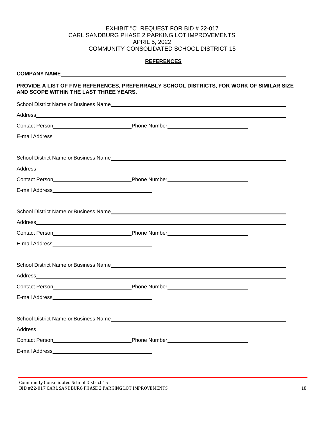#### EXHIBIT "C" REQUEST FOR BID # 22-017 CARL SANDBURG PHASE 2 PARKING LOT IMPROVEMENTS APRIL 5, 2022 COMMUNITY CONSOLIDATED SCHOOL DISTRICT 15

#### **REFERENCES**

#### **COMPANY NAME**

#### **PROVIDE A LIST OF FIVE REFERENCES, PREFERRABLY SCHOOL DISTRICTS, FOR WORK OF SIMILAR SIZE AND SCOPE WITHIN THE LAST THREE YEARS.**

Community Consolidated School District 15 BID #22-017 CARL SANDBURG PHASE 2 PARKING LOT IMPROVEMENTS 18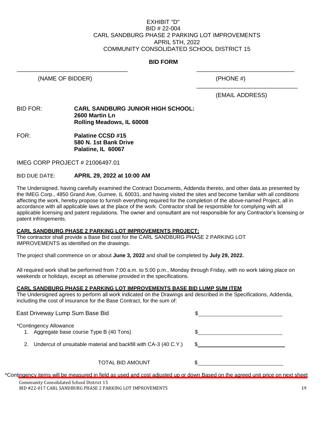#### EXHIBIT "D" BID # 22-004 CARL SANDBURG PHASE 2 PARKING LOT IMPROVEMENTS APRIL 5TH, 2022 COMMUNITY CONSOLIDATED SCHOOL DISTRICT 15

#### **BID FORM**

\_\_\_\_\_\_\_\_\_\_\_\_\_\_\_\_\_\_\_\_\_\_\_\_\_\_\_\_\_\_\_\_\_\_ \_\_\_\_\_\_\_\_\_\_\_\_\_\_\_\_\_\_\_\_\_\_\_\_\_\_\_\_\_\_

(NAME OF BIDDER) (PHONE #)

(EMAIL ADDRESS)

\_\_\_\_\_\_\_\_\_\_\_\_\_\_\_\_\_\_\_\_\_\_\_\_\_\_\_\_\_\_\_

#### BID FOR: **CARL SANDBURG JUNIOR HIGH SCHOOL: 2600 Martin Ln Rolling Meadows, IL 60008**

FOR: **Palatine CCSD #15 580 N. 1st Bank Drive Palatine, IL 60067**

IMEG CORP PROJECT # 21006497.01

#### BID DUE DATE: **APRIL 29, 2022 at 10:00 AM**

The Undersigned, having carefully examined the Contract Documents, Addenda thereto, and other data as presented by the IMEG Corp., 4850 Grand Ave, Gurnee, IL 60031, and having visited the sites and become familiar with all conditions affecting the work, hereby propose to furnish everything required for the completion of the above-named Project, all in accordance with all applicable laws at the place of the work. Contractor shall be responsible for complying with all applicable licensing and patent regulations. The owner and consultant are not responsible for any Contractor's licensing or patent infringements.

#### **CARL SANDBURG PHASE 2 PARKING LOT IMPROVEMENTS PROJECT:**

The contractor shall provide a Base Bid cost for the CARL SANDBURG PHASE 2 PARKING LOT IMPROVEMENTS as identified on the drawings.

The project shall commence on or about **June 3, 2022** and shall be completed by **July 29, 2022.**

All required work shall be performed from 7:00 a.m. to 5:00 p.m., Monday through Friday, with no work taking place on weekends or holidays, except as otherwise provided in the specifications.

# **CARL SANDBURG PHASE 2 PARKING LOT IMPROVEMENTS BASE BID LUMP SUM ITEM**

The Undersigned agrees to perform all work indicated on the Drawings and described in the Specifications, Addenda, including the cost of insurance for the Base Contract, for the sum of:

| East Driveway Lump Sum Base Bid                                     |  |
|---------------------------------------------------------------------|--|
| *Contingency Allowance<br>1. Aggregate base course Type B (40 Tons) |  |
| 2. Undercut of unsuitable material and backfill with CA-3 (40 C.Y.) |  |
| TOTAL BID AMOUNT                                                    |  |

\*Contingency items will be measured in field as used and cost adjusted up or down Based on the agreed unit price on next sheet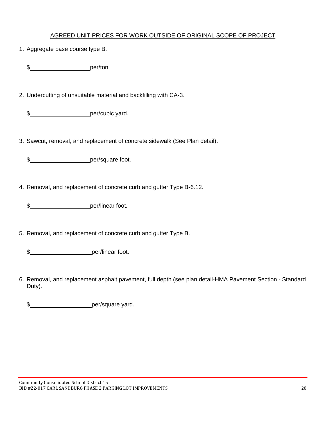# AGREED UNIT PRICES FOR WORK OUTSIDE OF ORIGINAL SCOPE OF PROJECT

1. Aggregate base course type B.

\$\_\_\_\_\_\_\_\_\_\_\_\_\_\_\_\_\_\_\_\_\_\_\_\_\_\_\_\_per/ton

2. Undercutting of unsuitable material and backfilling with CA-3.

\$\_\_\_\_\_\_\_\_\_\_\_\_\_\_\_\_\_\_\_\_\_\_\_per/cubic yard.

3. Sawcut, removal, and replacement of concrete sidewalk (See Plan detail).

\$ per/square foot.

4. Removal, and replacement of concrete curb and gutter Type B-6.12.

\$ per/linear foot.

5. Removal, and replacement of concrete curb and gutter Type B.

\$ per/linear foot.

6. Removal, and replacement asphalt pavement, full depth (see plan detail-HMA Pavement Section - Standard Duty).

\$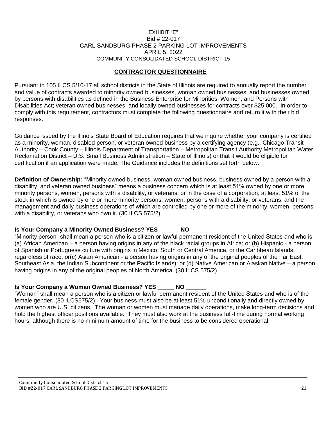#### EXHIBIT "E" Bid # 22-017 CARL SANDBURG PHASE 2 PARKING LOT IMPROVEMENTS APRIL 5, 2022 COMMUNITY CONSOLIDATED SCHOOL DISTRICT 15

# **CONTRACTOR QUESTIONNAIRE**

Pursuant to 105 ILCS 5/10-17 all school districts in the State of Illinois are required to annually report the number and value of contracts awarded to minority owned businesses, woman owned businesses, and businesses owned by persons with disabilities as defined in the Business Enterprise for Minorities, Women, and Persons with Disabilities Act; veteran owned businesses, and locally owned businesses for contracts over \$25,000. In order to comply with this requirement, contractors must complete the following questionnaire and return it with their bid responses.

Guidance issued by the Illinois State Board of Education requires that we inquire whether your company is certified as a minority, woman, disabled person, or veteran owned business by a certifying agency (e.g., Chicago Transit Authority – Cook County – Illinois Department of Transportation – Metropolitan Transit Authority Metropolitan Water Reclamation District – U.S. Small Business Administration – State of Illinois) or that it would be eligible for certification if an application were made. The Guidance includes the definitions set forth below.

**Definition of Ownership:** "Minority owned business, woman owned business, business owned by a person with a disability, and veteran owned business" means a business concern which is at least 51% owned by one or more minority persons, women, persons with a disability, or veterans; or in the case of a corporation, at least 51% of the stock in which is owned by one or more minority persons, women, persons with a disability, or veterans, and the management and daily business operations of which are controlled by one or more of the minority, women, persons with a disability, or veterans who own it. (30 ILCS 575/2)

# **Is Your Company a Minority Owned Business? YES \_\_\_\_\_\_ NO**

"Minority person" shall mean a person who is a citizen or lawful permanent resident of the United States and who is: (a) African American – a person having origins in any of the black racial groups in Africa; or (b) Hispanic - a person of Spanish or Portuguese culture with origins in Mexico, South or Central America, or the Caribbean Islands, regardless of race; or(c) Asian American - a person having origins in any of the original peoples of the Far East, Southeast Asia, the Indian Subcontinent or the Pacific Islands); or (d) Native American or Alaskan Native – a person having origins in any of the original peoples of North America. (30 ILCS 575/2)

# **Is Your Company a Woman Owned Business? YES \_\_\_\_\_ NO \_\_\_\_\_\_**

"Woman" shall mean a person who is a citizen or lawful permanent resident of the United States and who is of the female gender. (30 ILCS575/2). Your business must also be at least 51% unconditionally and directly owned by women who are U.S. citizens. The woman or women must manage daily operations, make long-term decisions and hold the highest officer positions available. They must also work at the business full-time during normal working hours, although there is no minimum amount of time for the business to be considered operational.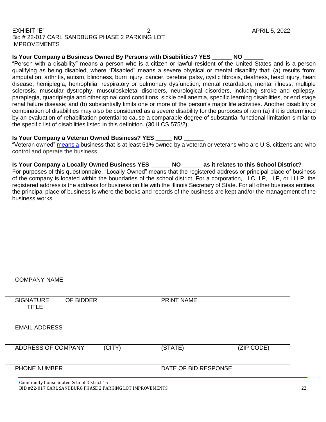#### EXHIBIT "E" 2 APRIL 5, 2022 Bid # 22-017 CARL SANDBURG PHASE 2 PARKING LOT IMPROVEMENTS

**Is Your Company a Business Owned By Persons with Disabilities? YES \_\_\_\_\_\_ NO \_\_\_\_\_\_**

"Person with a disability" means a person who is a citizen or lawful resident of the United States and is a person qualifying as being disabled, where "Disabled" means a severe physical or mental disability that: (a) results from: amputation, arthritis, autism, blindness, burn injury, cancer, cerebral palsy, cystic fibrosis, deafness, head injury, heart disease, hemiplegia, hemophilia, respiratory or pulmonary dysfunction, mental retardation, mental illness, multiple sclerosis, muscular dystrophy, musculoskeletal disorders, neurological disorders, including stroke and epilepsy, paraplegia, quadriplegia and other spinal cord conditions, sickle cell anemia, specific learning disabilities, or end stage renal failure disease; and (b) substantially limits one or more of the person's major life activities. Another disability or combination of disabilities may also be considered as a severe disability for the purposes of item (a) if it is determined by an evaluation of rehabilitation potential to cause a comparable degree of substantial functional limitation similar to the specific list of disabilities listed in this definition. (30 ILCS 575/2).

# **Is Your Company a Veteran Owned Business? YES \_\_\_\_\_ NO \_\_\_\_\_\_**

"Veteran owned" [means a](https://www.lawinsider.com/dictionary/locally-owned-enterprise) business that is at least 51% owned by a veteran or veterans who are U.S. citizens and who control and operate the business

**Is Your Company a Locally Owned Business YES \_\_\_\_\_\_ NO \_\_\_\_\_\_ as it relates to this School District?** For purposes of this questionnaire, "Locally Owned" means that the registered address or principal place of business of the company is located within the boundaries of the school district. For a corporation, LLC, LP, LLP, or LLLP, the registered address is the address for business on file with the Illinois Secretary of State. For all other business entities, the principal place of business is where the books and records of the business are kept and/or the management of the business works.

| <b>COMPANY NAME</b>                       |           |        |                      |            |
|-------------------------------------------|-----------|--------|----------------------|------------|
| <b>SIGNATURE</b><br><b>TITLE</b>          | OF BIDDER |        | <b>PRINT NAME</b>    |            |
| <b>EMAIL ADDRESS</b>                      |           |        |                      |            |
| ADDRESS OF COMPANY                        |           | (CITY) | (STATE)              | (ZIP CODE) |
| <b>PHONE NUMBER</b>                       |           |        | DATE OF BID RESPONSE |            |
| Community Consolidated School District 15 |           |        |                      |            |

BID #22-017 CARL SANDBURG PHASE 2 PARKING LOT IMPROVEMENTS 22